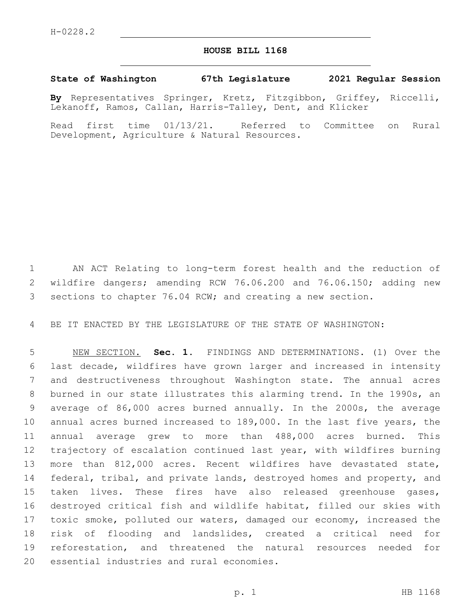## **HOUSE BILL 1168**

## **State of Washington 67th Legislature 2021 Regular Session**

**By** Representatives Springer, Kretz, Fitzgibbon, Griffey, Riccelli, Lekanoff, Ramos, Callan, Harris-Talley, Dent, and Klicker

Read first time 01/13/21. Referred to Committee on Rural Development, Agriculture & Natural Resources.

 AN ACT Relating to long-term forest health and the reduction of wildfire dangers; amending RCW 76.06.200 and 76.06.150; adding new sections to chapter 76.04 RCW; and creating a new section.

BE IT ENACTED BY THE LEGISLATURE OF THE STATE OF WASHINGTON:

 NEW SECTION. **Sec. 1.** FINDINGS AND DETERMINATIONS. (1) Over the last decade, wildfires have grown larger and increased in intensity and destructiveness throughout Washington state. The annual acres burned in our state illustrates this alarming trend. In the 1990s, an average of 86,000 acres burned annually. In the 2000s, the average annual acres burned increased to 189,000. In the last five years, the annual average grew to more than 488,000 acres burned. This trajectory of escalation continued last year, with wildfires burning more than 812,000 acres. Recent wildfires have devastated state, 14 federal, tribal, and private lands, destroyed homes and property, and taken lives. These fires have also released greenhouse gases, destroyed critical fish and wildlife habitat, filled our skies with toxic smoke, polluted our waters, damaged our economy, increased the risk of flooding and landslides, created a critical need for reforestation, and threatened the natural resources needed for essential industries and rural economies.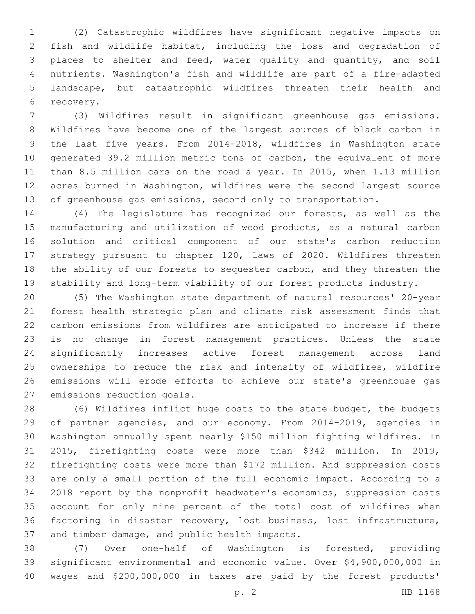(2) Catastrophic wildfires have significant negative impacts on fish and wildlife habitat, including the loss and degradation of places to shelter and feed, water quality and quantity, and soil nutrients. Washington's fish and wildlife are part of a fire-adapted landscape, but catastrophic wildfires threaten their health and 6 recovery.

 (3) Wildfires result in significant greenhouse gas emissions. Wildfires have become one of the largest sources of black carbon in the last five years. From 2014-2018, wildfires in Washington state generated 39.2 million metric tons of carbon, the equivalent of more than 8.5 million cars on the road a year. In 2015, when 1.13 million acres burned in Washington, wildfires were the second largest source 13 of greenhouse gas emissions, second only to transportation.

 (4) The legislature has recognized our forests, as well as the manufacturing and utilization of wood products, as a natural carbon solution and critical component of our state's carbon reduction strategy pursuant to chapter 120, Laws of 2020. Wildfires threaten the ability of our forests to sequester carbon, and they threaten the stability and long-term viability of our forest products industry.

 (5) The Washington state department of natural resources' 20-year forest health strategic plan and climate risk assessment finds that carbon emissions from wildfires are anticipated to increase if there is no change in forest management practices. Unless the state significantly increases active forest management across land 25 ownerships to reduce the risk and intensity of wildfires, wildfire emissions will erode efforts to achieve our state's greenhouse gas 27 emissions reduction goals.

 (6) Wildfires inflict huge costs to the state budget, the budgets of partner agencies, and our economy. From 2014-2019, agencies in Washington annually spent nearly \$150 million fighting wildfires. In 2015, firefighting costs were more than \$342 million. In 2019, firefighting costs were more than \$172 million. And suppression costs are only a small portion of the full economic impact. According to a 2018 report by the nonprofit headwater's economics, suppression costs account for only nine percent of the total cost of wildfires when factoring in disaster recovery, lost business, lost infrastructure, 37 and timber damage, and public health impacts.

 (7) Over one-half of Washington is forested, providing significant environmental and economic value. Over \$4,900,000,000 in wages and \$200,000,000 in taxes are paid by the forest products'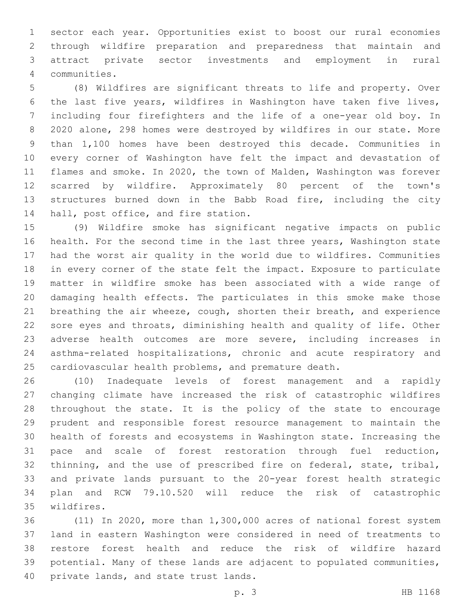sector each year. Opportunities exist to boost our rural economies through wildfire preparation and preparedness that maintain and attract private sector investments and employment in rural communities.4

 (8) Wildfires are significant threats to life and property. Over the last five years, wildfires in Washington have taken five lives, including four firefighters and the life of a one-year old boy. In 2020 alone, 298 homes were destroyed by wildfires in our state. More than 1,100 homes have been destroyed this decade. Communities in every corner of Washington have felt the impact and devastation of flames and smoke. In 2020, the town of Malden, Washington was forever scarred by wildfire. Approximately 80 percent of the town's structures burned down in the Babb Road fire, including the city 14 hall, post office, and fire station.

 (9) Wildfire smoke has significant negative impacts on public health. For the second time in the last three years, Washington state had the worst air quality in the world due to wildfires. Communities in every corner of the state felt the impact. Exposure to particulate matter in wildfire smoke has been associated with a wide range of damaging health effects. The particulates in this smoke make those breathing the air wheeze, cough, shorten their breath, and experience sore eyes and throats, diminishing health and quality of life. Other adverse health outcomes are more severe, including increases in asthma-related hospitalizations, chronic and acute respiratory and cardiovascular health problems, and premature death.

 (10) Inadequate levels of forest management and a rapidly changing climate have increased the risk of catastrophic wildfires throughout the state. It is the policy of the state to encourage prudent and responsible forest resource management to maintain the health of forests and ecosystems in Washington state. Increasing the pace and scale of forest restoration through fuel reduction, thinning, and the use of prescribed fire on federal, state, tribal, and private lands pursuant to the 20-year forest health strategic plan and RCW 79.10.520 will reduce the risk of catastrophic wildfires.35

 (11) In 2020, more than 1,300,000 acres of national forest system land in eastern Washington were considered in need of treatments to restore forest health and reduce the risk of wildfire hazard potential. Many of these lands are adjacent to populated communities, 40 private lands, and state trust lands.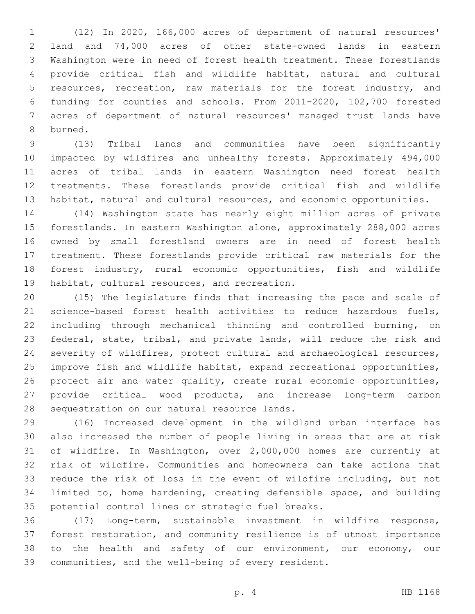(12) In 2020, 166,000 acres of department of natural resources' land and 74,000 acres of other state-owned lands in eastern Washington were in need of forest health treatment. These forestlands provide critical fish and wildlife habitat, natural and cultural resources, recreation, raw materials for the forest industry, and funding for counties and schools. From 2011-2020, 102,700 forested acres of department of natural resources' managed trust lands have 8 burned.

 (13) Tribal lands and communities have been significantly impacted by wildfires and unhealthy forests. Approximately 494,000 acres of tribal lands in eastern Washington need forest health treatments. These forestlands provide critical fish and wildlife habitat, natural and cultural resources, and economic opportunities.

 (14) Washington state has nearly eight million acres of private forestlands. In eastern Washington alone, approximately 288,000 acres owned by small forestland owners are in need of forest health treatment. These forestlands provide critical raw materials for the forest industry, rural economic opportunities, fish and wildlife 19 habitat, cultural resources, and recreation.

 (15) The legislature finds that increasing the pace and scale of science-based forest health activities to reduce hazardous fuels, including through mechanical thinning and controlled burning, on federal, state, tribal, and private lands, will reduce the risk and severity of wildfires, protect cultural and archaeological resources, improve fish and wildlife habitat, expand recreational opportunities, protect air and water quality, create rural economic opportunities, provide critical wood products, and increase long-term carbon 28 sequestration on our natural resource lands.

 (16) Increased development in the wildland urban interface has also increased the number of people living in areas that are at risk of wildfire. In Washington, over 2,000,000 homes are currently at risk of wildfire. Communities and homeowners can take actions that reduce the risk of loss in the event of wildfire including, but not limited to, home hardening, creating defensible space, and building 35 potential control lines or strategic fuel breaks.

 (17) Long-term, sustainable investment in wildfire response, forest restoration, and community resilience is of utmost importance 38 to the health and safety of our environment, our economy, our communities, and the well-being of every resident.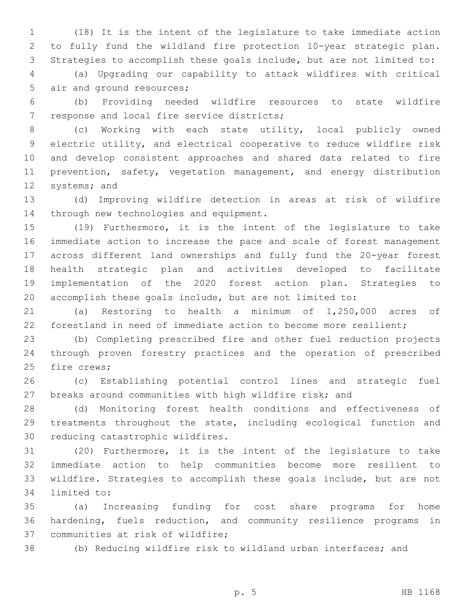(18) It is the intent of the legislature to take immediate action to fully fund the wildland fire protection 10-year strategic plan. Strategies to accomplish these goals include, but are not limited to:

 (a) Upgrading our capability to attack wildfires with critical 5 air and ground resources;

 (b) Providing needed wildfire resources to state wildfire 7 response and local fire service districts;

 (c) Working with each state utility, local publicly owned electric utility, and electrical cooperative to reduce wildfire risk and develop consistent approaches and shared data related to fire 11 prevention, safety, vegetation management, and energy distribution 12 systems; and

 (d) Improving wildfire detection in areas at risk of wildfire 14 through new technologies and equipment.

 (19) Furthermore, it is the intent of the legislature to take immediate action to increase the pace and scale of forest management across different land ownerships and fully fund the 20-year forest health strategic plan and activities developed to facilitate implementation of the 2020 forest action plan. Strategies to accomplish these goals include, but are not limited to:

 (a) Restoring to health a minimum of 1,250,000 acres of forestland in need of immediate action to become more resilient;

 (b) Completing prescribed fire and other fuel reduction projects through proven forestry practices and the operation of prescribed 25 fire crews;

 (c) Establishing potential control lines and strategic fuel breaks around communities with high wildfire risk; and

 (d) Monitoring forest health conditions and effectiveness of treatments throughout the state, including ecological function and 30 reducing catastrophic wildfires.

 (20) Furthermore, it is the intent of the legislature to take immediate action to help communities become more resilient to wildfire. Strategies to accomplish these goals include, but are not 34 limited to:

 (a) Increasing funding for cost share programs for home hardening, fuels reduction, and community resilience programs in 37 communities at risk of wildfire;

(b) Reducing wildfire risk to wildland urban interfaces; and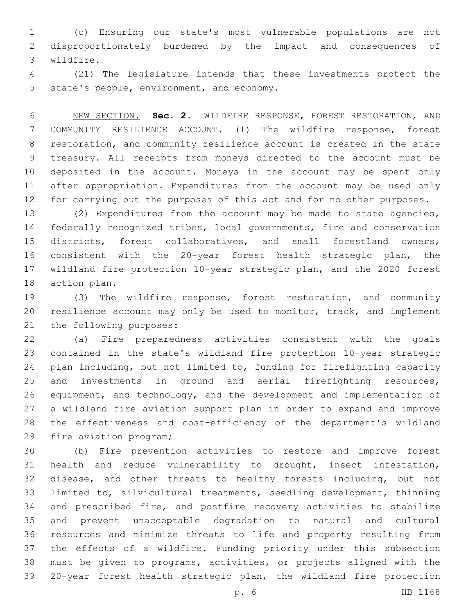(c) Ensuring our state's most vulnerable populations are not disproportionately burdened by the impact and consequences of wildfire.3

 (21) The legislature intends that these investments protect the 5 state's people, environment, and economy.

 NEW SECTION. **Sec. 2.** WILDFIRE RESPONSE, FOREST RESTORATION, AND COMMUNITY RESILIENCE ACCOUNT. (1) The wildfire response, forest restoration, and community resilience account is created in the state treasury. All receipts from moneys directed to the account must be deposited in the account. Moneys in the account may be spent only after appropriation. Expenditures from the account may be used only for carrying out the purposes of this act and for no other purposes.

 (2) Expenditures from the account may be made to state agencies, federally recognized tribes, local governments, fire and conservation districts, forest collaboratives, and small forestland owners, consistent with the 20-year forest health strategic plan, the wildland fire protection 10-year strategic plan, and the 2020 forest 18 action plan.

 (3) The wildfire response, forest restoration, and community resilience account may only be used to monitor, track, and implement 21 the following purposes:

 (a) Fire preparedness activities consistent with the goals contained in the state's wildland fire protection 10-year strategic plan including, but not limited to, funding for firefighting capacity and investments in ground and aerial firefighting resources, equipment, and technology, and the development and implementation of a wildland fire aviation support plan in order to expand and improve the effectiveness and cost-efficiency of the department's wildland 29 fire aviation program;

 (b) Fire prevention activities to restore and improve forest health and reduce vulnerability to drought, insect infestation, disease, and other threats to healthy forests including, but not limited to, silvicultural treatments, seedling development, thinning and prescribed fire, and postfire recovery activities to stabilize and prevent unacceptable degradation to natural and cultural resources and minimize threats to life and property resulting from the effects of a wildfire. Funding priority under this subsection must be given to programs, activities, or projects aligned with the 20-year forest health strategic plan, the wildland fire protection

p. 6 HB 1168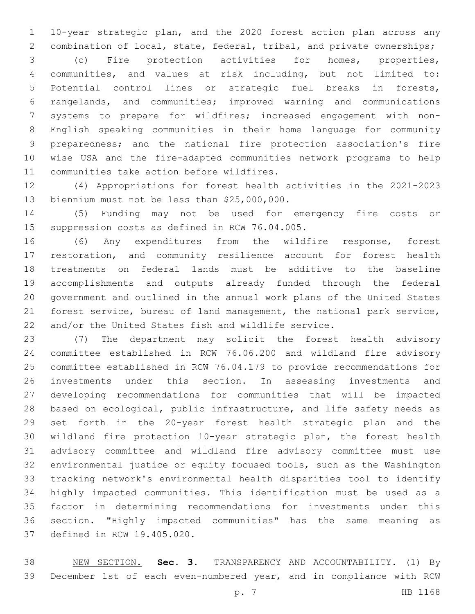10-year strategic plan, and the 2020 forest action plan across any 2 combination of local, state, federal, tribal, and private ownerships;

 (c) Fire protection activities for homes, properties, communities, and values at risk including, but not limited to: Potential control lines or strategic fuel breaks in forests, rangelands, and communities; improved warning and communications systems to prepare for wildfires; increased engagement with non- English speaking communities in their home language for community preparedness; and the national fire protection association's fire wise USA and the fire-adapted communities network programs to help 11 communities take action before wildfires.

 (4) Appropriations for forest health activities in the 2021-2023 13 biennium must not be less than \$25,000,000.

 (5) Funding may not be used for emergency fire costs or 15 suppression costs as defined in RCW 76.04.005.

 (6) Any expenditures from the wildfire response, forest restoration, and community resilience account for forest health treatments on federal lands must be additive to the baseline accomplishments and outputs already funded through the federal government and outlined in the annual work plans of the United States forest service, bureau of land management, the national park service, and/or the United States fish and wildlife service.

 (7) The department may solicit the forest health advisory committee established in RCW 76.06.200 and wildland fire advisory committee established in RCW 76.04.179 to provide recommendations for investments under this section. In assessing investments and developing recommendations for communities that will be impacted based on ecological, public infrastructure, and life safety needs as set forth in the 20-year forest health strategic plan and the wildland fire protection 10-year strategic plan, the forest health advisory committee and wildland fire advisory committee must use environmental justice or equity focused tools, such as the Washington tracking network's environmental health disparities tool to identify highly impacted communities. This identification must be used as a factor in determining recommendations for investments under this section. "Highly impacted communities" has the same meaning as 37 defined in RCW 19.405.020.

 NEW SECTION. **Sec. 3.** TRANSPARENCY AND ACCOUNTABILITY. (1) By December 1st of each even-numbered year, and in compliance with RCW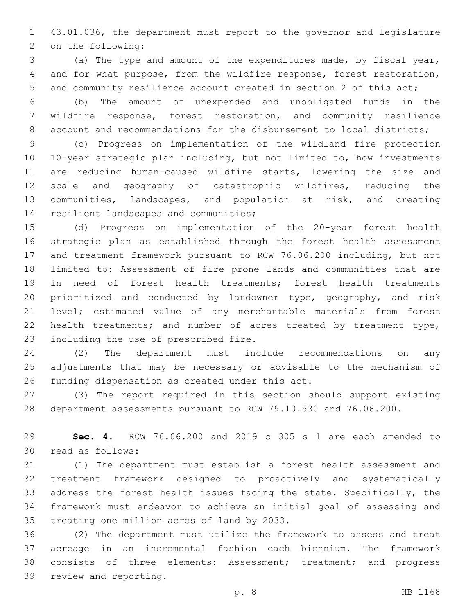43.01.036, the department must report to the governor and legislature 2 on the following:

 (a) The type and amount of the expenditures made, by fiscal year, and for what purpose, from the wildfire response, forest restoration, and community resilience account created in section 2 of this act;

 (b) The amount of unexpended and unobligated funds in the wildfire response, forest restoration, and community resilience account and recommendations for the disbursement to local districts;

 (c) Progress on implementation of the wildland fire protection 10-year strategic plan including, but not limited to, how investments are reducing human-caused wildfire starts, lowering the size and scale and geography of catastrophic wildfires, reducing the communities, landscapes, and population at risk, and creating 14 resilient landscapes and communities;

 (d) Progress on implementation of the 20-year forest health strategic plan as established through the forest health assessment and treatment framework pursuant to RCW 76.06.200 including, but not limited to: Assessment of fire prone lands and communities that are in need of forest health treatments; forest health treatments prioritized and conducted by landowner type, geography, and risk level; estimated value of any merchantable materials from forest 22 health treatments; and number of acres treated by treatment type, 23 including the use of prescribed fire.

 (2) The department must include recommendations on any adjustments that may be necessary or advisable to the mechanism of 26 funding dispensation as created under this act.

 (3) The report required in this section should support existing department assessments pursuant to RCW 79.10.530 and 76.06.200.

 **Sec. 4.** RCW 76.06.200 and 2019 c 305 s 1 are each amended to read as follows:30

 (1) The department must establish a forest health assessment and treatment framework designed to proactively and systematically address the forest health issues facing the state. Specifically, the framework must endeavor to achieve an initial goal of assessing and 35 treating one million acres of land by 2033.

 (2) The department must utilize the framework to assess and treat acreage in an incremental fashion each biennium. The framework consists of three elements: Assessment; treatment; and progress 39 review and reporting.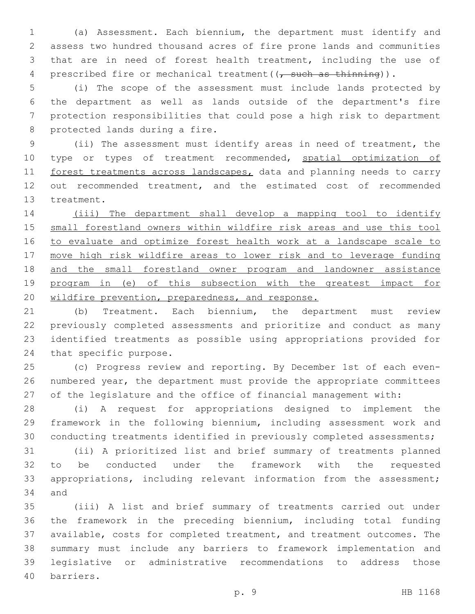(a) Assessment. Each biennium, the department must identify and assess two hundred thousand acres of fire prone lands and communities that are in need of forest health treatment, including the use of 4 prescribed fire or mechanical treatment ( $\frac{1}{1}$  such as thinning)).

 (i) The scope of the assessment must include lands protected by the department as well as lands outside of the department's fire protection responsibilities that could pose a high risk to department 8 protected lands during a fire.

 (ii) The assessment must identify areas in need of treatment, the 10 type or types of treatment recommended, spatial optimization of 11 forest treatments across landscapes, data and planning needs to carry out recommended treatment, and the estimated cost of recommended 13 treatment.

 (iii) The department shall develop a mapping tool to identify small forestland owners within wildfire risk areas and use this tool to evaluate and optimize forest health work at a landscape scale to move high risk wildfire areas to lower risk and to leverage funding 18 and the small forestland owner program and landowner assistance program in (e) of this subsection with the greatest impact for wildfire prevention, preparedness, and response.

 (b) Treatment. Each biennium, the department must review previously completed assessments and prioritize and conduct as many identified treatments as possible using appropriations provided for 24 that specific purpose.

 (c) Progress review and reporting. By December 1st of each even- numbered year, the department must provide the appropriate committees of the legislature and the office of financial management with:

 (i) A request for appropriations designed to implement the framework in the following biennium, including assessment work and conducting treatments identified in previously completed assessments;

 (ii) A prioritized list and brief summary of treatments planned to be conducted under the framework with the requested appropriations, including relevant information from the assessment; 34 and

 (iii) A list and brief summary of treatments carried out under the framework in the preceding biennium, including total funding available, costs for completed treatment, and treatment outcomes. The summary must include any barriers to framework implementation and legislative or administrative recommendations to address those barriers.40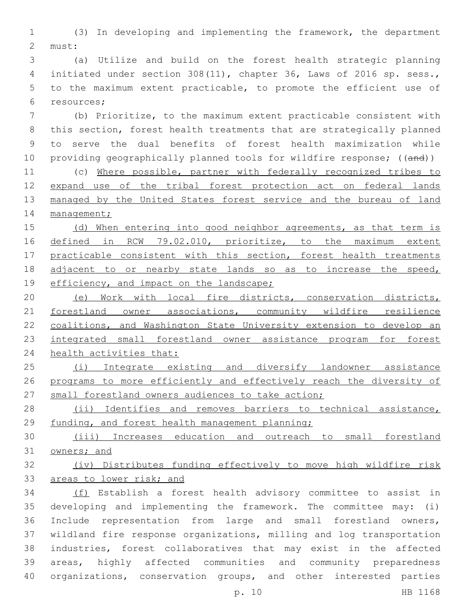(3) In developing and implementing the framework, the department 2 must:

 (a) Utilize and build on the forest health strategic planning initiated under section 308(11), chapter 36, Laws of 2016 sp. sess., to the maximum extent practicable, to promote the efficient use of resources;6

 (b) Prioritize, to the maximum extent practicable consistent with this section, forest health treatments that are strategically planned to serve the dual benefits of forest health maximization while 10 providing geographically planned tools for wildfire response; ((and))

 (c) Where possible, partner with federally recognized tribes to expand use of the tribal forest protection act on federal lands 13 managed by the United States forest service and the bureau of land 14 management;

15 (d) When entering into good neighbor agreements, as that term is 16 defined in RCW 79.02.010, prioritize, to the maximum extent 17 practicable consistent with this section, forest health treatments adjacent to or nearby state lands so as to increase the speed, 19 efficiency, and impact on the landscape;

 (e) Work with local fire districts, conservation districts, 21 forestland owner associations, community wildfire resilience coalitions, and Washington State University extension to develop an integrated small forestland owner assistance program for forest health activities that:

 (i) Integrate existing and diversify landowner assistance programs to more efficiently and effectively reach the diversity of 27 small forestland owners audiences to take action;

28 (ii) Identifies and removes barriers to technical assistance, funding, and forest health management planning;

 (iii) Increases education and outreach to small forestland owners; and

 (iv) Distributes funding effectively to move high wildfire risk areas to lower risk; and

 (f) Establish a forest health advisory committee to assist in developing and implementing the framework. The committee may: (i) Include representation from large and small forestland owners, wildland fire response organizations, milling and log transportation industries, forest collaboratives that may exist in the affected areas, highly affected communities and community preparedness organizations, conservation groups, and other interested parties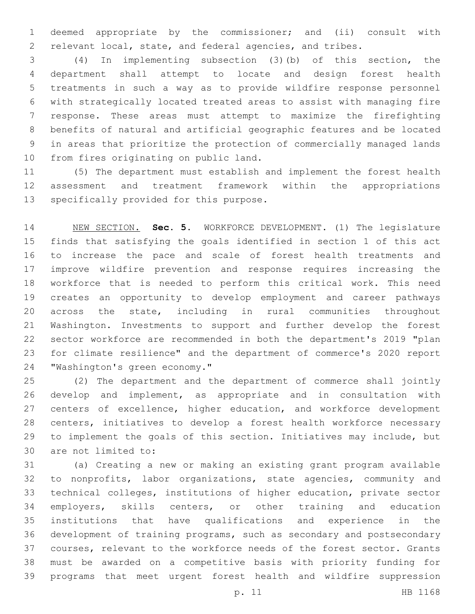deemed appropriate by the commissioner; and (ii) consult with relevant local, state, and federal agencies, and tribes.

 (4) In implementing subsection (3)(b) of this section, the department shall attempt to locate and design forest health treatments in such a way as to provide wildfire response personnel with strategically located treated areas to assist with managing fire response. These areas must attempt to maximize the firefighting benefits of natural and artificial geographic features and be located in areas that prioritize the protection of commercially managed lands 10 from fires originating on public land.

 (5) The department must establish and implement the forest health assessment and treatment framework within the appropriations 13 specifically provided for this purpose.

 NEW SECTION. **Sec. 5.** WORKFORCE DEVELOPMENT. (1) The legislature finds that satisfying the goals identified in section 1 of this act to increase the pace and scale of forest health treatments and improve wildfire prevention and response requires increasing the workforce that is needed to perform this critical work. This need creates an opportunity to develop employment and career pathways across the state, including in rural communities throughout Washington. Investments to support and further develop the forest sector workforce are recommended in both the department's 2019 "plan for climate resilience" and the department of commerce's 2020 report "Washington's green economy."

 (2) The department and the department of commerce shall jointly develop and implement, as appropriate and in consultation with 27 centers of excellence, higher education, and workforce development centers, initiatives to develop a forest health workforce necessary to implement the goals of this section. Initiatives may include, but 30 are not limited to:

 (a) Creating a new or making an existing grant program available to nonprofits, labor organizations, state agencies, community and technical colleges, institutions of higher education, private sector employers, skills centers, or other training and education institutions that have qualifications and experience in the development of training programs, such as secondary and postsecondary courses, relevant to the workforce needs of the forest sector. Grants must be awarded on a competitive basis with priority funding for programs that meet urgent forest health and wildfire suppression

p. 11 HB 1168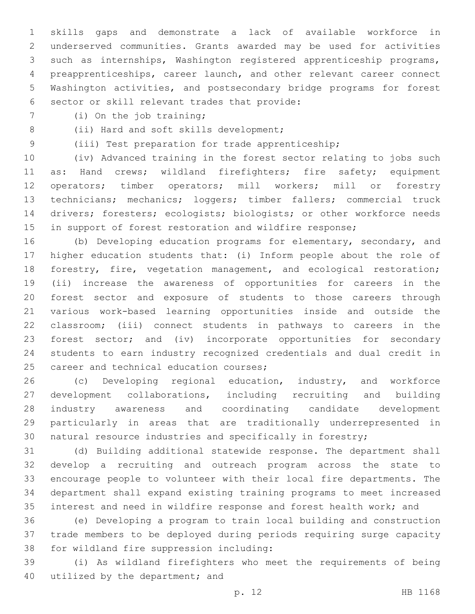skills gaps and demonstrate a lack of available workforce in underserved communities. Grants awarded may be used for activities such as internships, Washington registered apprenticeship programs, preapprenticeships, career launch, and other relevant career connect Washington activities, and postsecondary bridge programs for forest 6 sector or skill relevant trades that provide:

7 (i) On the job training;

8 (ii) Hard and soft skills development;

(iii) Test preparation for trade apprenticeship;

 (iv) Advanced training in the forest sector relating to jobs such 11 as: Hand crews; wildland firefighters; fire safety; equipment operators; timber operators; mill workers; mill or forestry technicians; mechanics; loggers; timber fallers; commercial truck drivers; foresters; ecologists; biologists; or other workforce needs 15 in support of forest restoration and wildfire response;

 (b) Developing education programs for elementary, secondary, and higher education students that: (i) Inform people about the role of forestry, fire, vegetation management, and ecological restoration; (ii) increase the awareness of opportunities for careers in the forest sector and exposure of students to those careers through various work-based learning opportunities inside and outside the classroom; (iii) connect students in pathways to careers in the forest sector; and (iv) incorporate opportunities for secondary students to earn industry recognized credentials and dual credit in 25 career and technical education courses;

 (c) Developing regional education, industry, and workforce development collaborations, including recruiting and building industry awareness and coordinating candidate development particularly in areas that are traditionally underrepresented in natural resource industries and specifically in forestry;

 (d) Building additional statewide response. The department shall develop a recruiting and outreach program across the state to encourage people to volunteer with their local fire departments. The department shall expand existing training programs to meet increased interest and need in wildfire response and forest health work; and

 (e) Developing a program to train local building and construction trade members to be deployed during periods requiring surge capacity 38 for wildland fire suppression including:

 (i) As wildland firefighters who meet the requirements of being 40 utilized by the department; and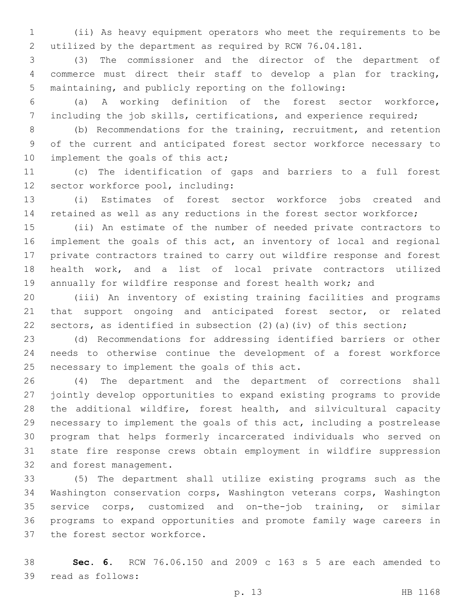(ii) As heavy equipment operators who meet the requirements to be utilized by the department as required by RCW 76.04.181.

 (3) The commissioner and the director of the department of commerce must direct their staff to develop a plan for tracking, maintaining, and publicly reporting on the following:

 (a) A working definition of the forest sector workforce, including the job skills, certifications, and experience required;

 (b) Recommendations for the training, recruitment, and retention of the current and anticipated forest sector workforce necessary to 10 implement the goals of this act;

 (c) The identification of gaps and barriers to a full forest 12 sector workforce pool, including:

 (i) Estimates of forest sector workforce jobs created and retained as well as any reductions in the forest sector workforce;

 (ii) An estimate of the number of needed private contractors to implement the goals of this act, an inventory of local and regional private contractors trained to carry out wildfire response and forest health work, and a list of local private contractors utilized annually for wildfire response and forest health work; and

 (iii) An inventory of existing training facilities and programs 21 that support ongoing and anticipated forest sector, or related sectors, as identified in subsection (2)(a)(iv) of this section;

 (d) Recommendations for addressing identified barriers or other needs to otherwise continue the development of a forest workforce 25 necessary to implement the goals of this act.

 (4) The department and the department of corrections shall jointly develop opportunities to expand existing programs to provide the additional wildfire, forest health, and silvicultural capacity necessary to implement the goals of this act, including a postrelease program that helps formerly incarcerated individuals who served on state fire response crews obtain employment in wildfire suppression 32 and forest management.

 (5) The department shall utilize existing programs such as the Washington conservation corps, Washington veterans corps, Washington service corps, customized and on-the-job training, or similar programs to expand opportunities and promote family wage careers in 37 the forest sector workforce.

 **Sec. 6.** RCW 76.06.150 and 2009 c 163 s 5 are each amended to 39 read as follows: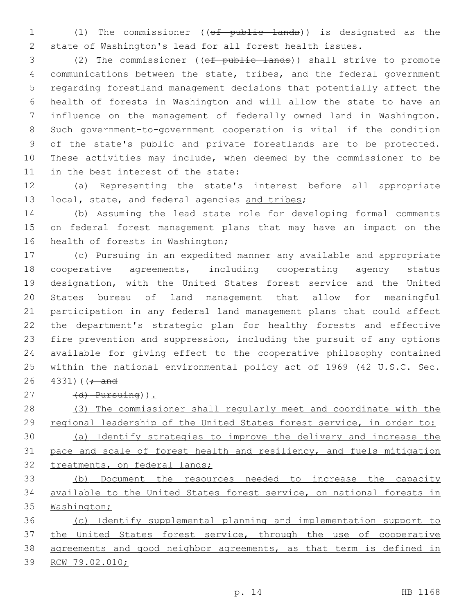(1) The commissioner ((of public lands)) is designated as the state of Washington's lead for all forest health issues.

 (2) The commissioner ((of public lands)) shall strive to promote 4 communications between the state, tribes, and the federal government regarding forestland management decisions that potentially affect the health of forests in Washington and will allow the state to have an influence on the management of federally owned land in Washington. Such government-to-government cooperation is vital if the condition of the state's public and private forestlands are to be protected. These activities may include, when deemed by the commissioner to be 11 in the best interest of the state:

 (a) Representing the state's interest before all appropriate 13 local, state, and federal agencies and tribes;

 (b) Assuming the lead state role for developing formal comments on federal forest management plans that may have an impact on the 16 health of forests in Washington;

 (c) Pursuing in an expedited manner any available and appropriate cooperative agreements, including cooperating agency status designation, with the United States forest service and the United States bureau of land management that allow for meaningful participation in any federal land management plans that could affect the department's strategic plan for healthy forests and effective fire prevention and suppression, including the pursuit of any options available for giving effect to the cooperative philosophy contained within the national environmental policy act of 1969 (42 U.S.C. Sec. ) ( $\frac{1}{7}$  and

(d) Pursuing)).

 (3) The commissioner shall regularly meet and coordinate with the regional leadership of the United States forest service, in order to: (a) Identify strategies to improve the delivery and increase the pace and scale of forest health and resiliency, and fuels mitigation

32 treatments, on federal lands;

 (b) Document the resources needed to increase the capacity available to the United States forest service, on national forests in 35 Washington;

 (c) Identify supplemental planning and implementation support to the United States forest service, through the use of cooperative agreements and good neighbor agreements, as that term is defined in RCW 79.02.010;